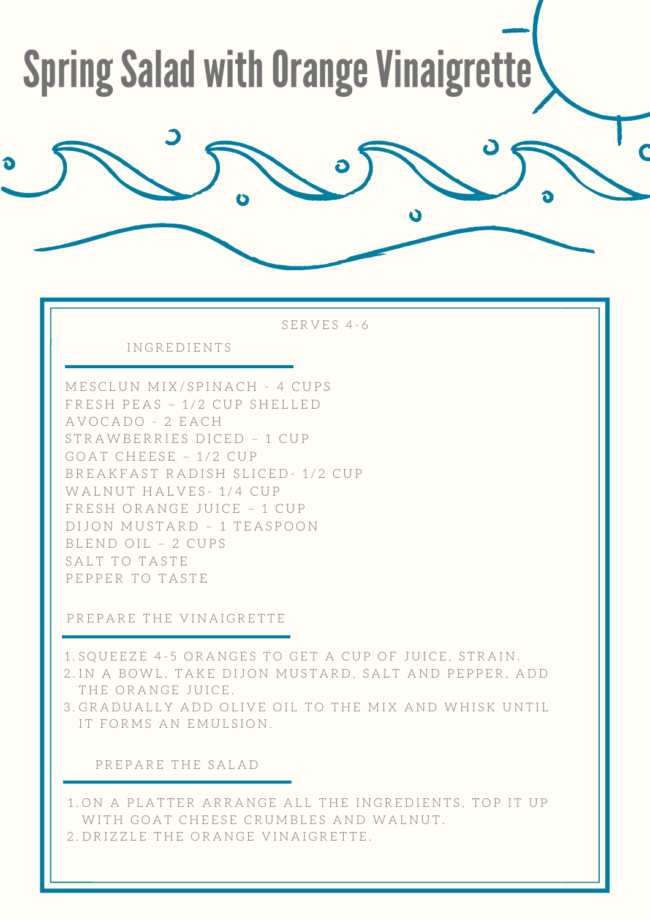## **Spring Salad with Orange Vinaigrette**

SERVES 4-6

INGREDIENTS

MESCLUN MIX/SPINACH - 4 CUPS FRESH PEAS - 1/2 CUP SHELLED AVOCADO - 2 EACH STRAWBERRIES DICED - 1 CUP GOAT CHEESE - 1/2 CUP BREAKFAST RADISH SLICED-1/2 CUP WALNUT HALVES-1/4 CUP FRESH ORANGE JUICE - 1 CUP DIJON MUSTARD - 1 TEASPOON BLEND OIL - 2 CUPS SALT TO TASTE PEPPER TO TASTE

PREPARE THE VINAIGRETTE

1. SQUEEZE 4-5 ORANGES TO GET A CUP OF JUICE, STRAIN.

2. IN A BOWL, TAKE DIJON MUSTARD, SALT AND PEPPER, ADD THE ORANGE JUICE.

3. GRADUALLY ADD OLIVE OIL TO THE MIX AND WHISK UNTIL IT FORMS AN EMULSION.

PREPARE THE SALAD

1. ON A PLATTER ARRANGE ALL THE INGREDIENTS, TOP IT UP WITH GOAT CHEESE CRUMBLES AND WALNUT. 2. DRIZZLE THE ORANGE VINAIGRETTE.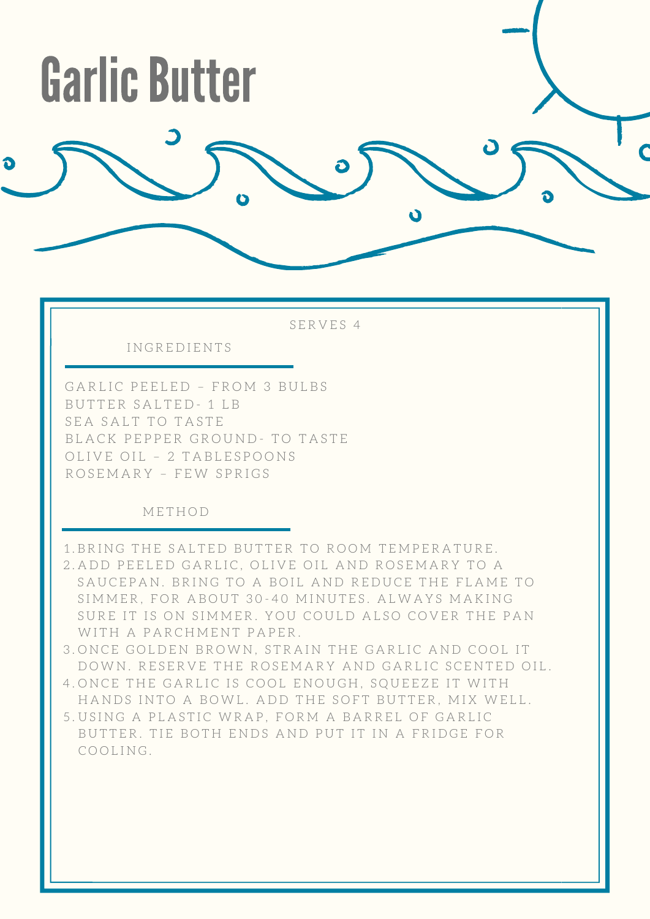

SERVES 4

"-.............. -----

I N G R E D I E N T S

 G A R L I C P E E L E D – F R O M 3 B U L B S B U T T E R S A L T E D - 1 L B SEA SALT TO TASTE BLACK PEPPER GROUND- TO TASTE OLIVE OIL - 2 TABLESPOONS R O S E M A R Y – F E W S P R I G S

#### M E T H O D

- 1.BRING THE SALTED BUTTER TO ROOM TEMPERATURE.
- 2.ADD PEELED GARLIC, OLIVE OIL AND ROSEMARY TO A SAUCEPAN. BRING TO A BOIL AND REDUCE THE FLAME TO SIMMER, FOR ABOUT 30-40 MINUTES. ALWAYS MAKING SURE IT IS ON SIMMER. YOU COULD ALSO COVER THE PAN WITH A PARCHMENT PAPER.
- 3.ONCE GOLDEN BROWN, STRAIN THE GARLIC AND COOL IT DOWN. RESERVE THE ROSEMARY AND GARLIC SCENTED OIL.
- 4.ONCE THE GARLIC IS COOL ENOUGH, SQUEEZE IT WITH HANDS INTO A BOWL. ADD THE SOFT BUTTER, MIX WELL.
- 5.USING A PLASTIC WRAP, FORM A BARREL OF GARLIC BUTTER. TIE BOTH ENDS AND PUT IT IN A FRIDGE FOR COOLING.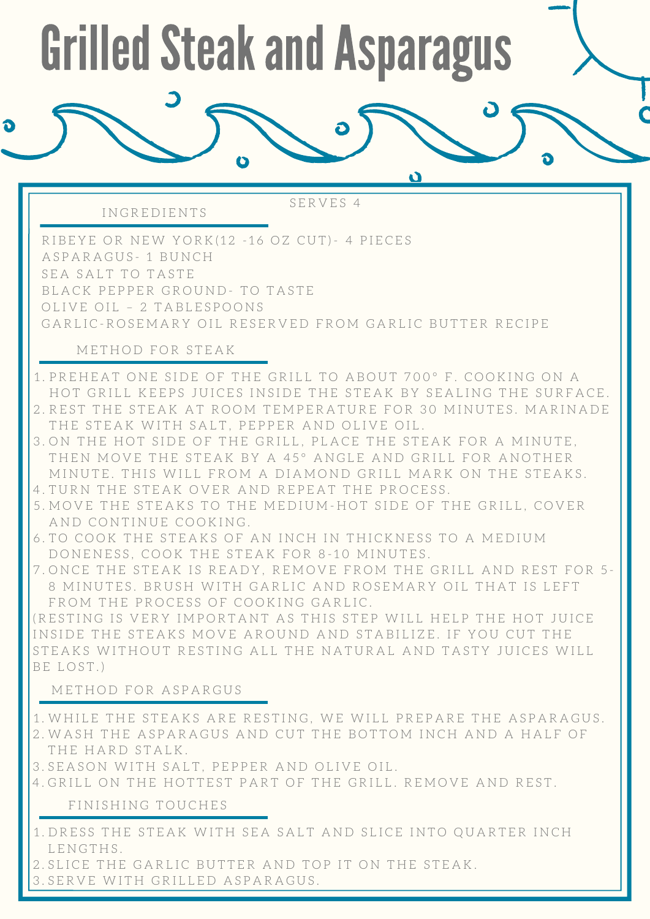# **Grilled Steak and Asparagus**

-

S E R V E S 4

RIBEYE OR NEW YORK(12 -16 OZ CUT)- 4 PIECES A S P A R A G U S - 1 B U N C H SEA SALT TO TASTE BLACK PEPPER GROUND- TO TASTE OLIVE OIL - 2 TABLESPOONS GARLIC-ROSEMARY OIL RESERVED FROM GARLIC BUTTER RECIPE

#### M E T H O D F O R S T E A K

I N G R E D I E N T S

- 1. PREHEAT ONE SIDE OF THE GRILL TO ABOUT 700° F. COOKING ON A HOT GRILL KEEPS JUICES INSIDE THE STEAK BY SEALING THE SURFACE.
- 2. REST THE STEAK AT ROOM TEMPERATURE FOR 30 MINUTES. MARINADE THE STEAK WITH SALT, PEPPER AND OLIVE OIL.
- 3. ON THE HOT SIDE OF THE GRILL, PLACE THE STEAK FOR A MINUTE, THEN MOVE THE STEAK BY A 45° ANGLE AND GRILL FOR ANOTHER MINUTE. THIS WILL FROM A DIAMOND GRILL MARK ON THE STEAKS.
- 4. TURN THE STEAK OVER AND REPEAT THE PROCESS.
- 5. MOVE THE STEAKS TO THE MEDIUM-HOT SIDE OF THE GRILL, COVER AND CONTINUE COOKING.
- 6. TO COOK THE STEAKS OF AN INCH IN THICKNESS TO A MEDIUM DONENESS, COOK THE STEAK FOR 8-10 MINUTES.
- 7. ONCE THE STEAK IS READY, REMOVE FROM THE GRILL AND REST FOR 5-8 MINUTES. BRUSH WITH GARLIC AND ROSEMARY OIL THAT IS LEFT FROM THE PROCESS OF COOKING GARLIC.

(RESTING IS VERY IMPORTANT AS THIS STEP WILL HELP THE HOT JUICE INSIDE THE STEAKS MOVE AROUND AND STABILIZE. IF YOU CUT THE STEAKS WITHOUT RESTING ALL THE NATURAL AND TASTY JUICES WILL BE LOST.)

#### M E T H O D F O R A S P A R G U S

- 1. WHILE THE STEAKS ARE RESTING, WE WILL PREPARE THE ASPARAGUS. 2. WASH THE ASPARAGUS AND CUT THE BOTTOM INCH AND A HALF OF THE HARD STALK.
- 3. SEASON WITH SALT, PEPPER AND OLIVE OIL.
- 4. GRILL ON THE HOTTEST PART OF THE GRILL. REMOVE AND REST.

#### FINISHING TOUCHES

- 1. DRESS THE STEAK WITH SEA SALT AND SLICE INTO QUARTER INCH L E N G T H S.
- 2. SLICE THE GARLIC BUTTER AND TOP IT ON THE STEAK.
- SERVE WITH GRILLED ASPARAGUS. 3 .